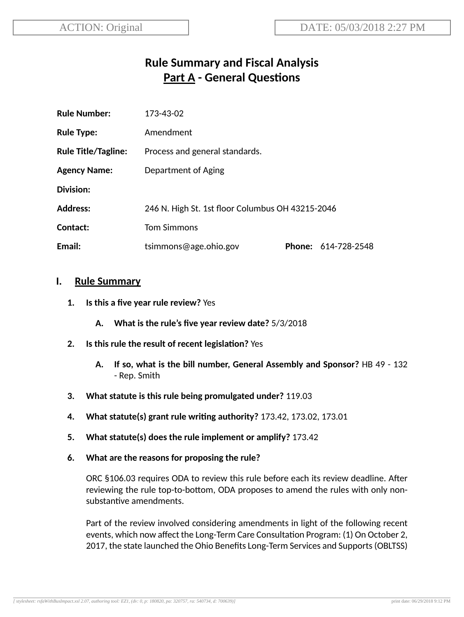# **Rule Summary and Fiscal Analysis Part A - General Questions**

| <b>Rule Number:</b>        | 173-43-02                                        |               |              |
|----------------------------|--------------------------------------------------|---------------|--------------|
| <b>Rule Type:</b>          | Amendment                                        |               |              |
| <b>Rule Title/Tagline:</b> | Process and general standards.                   |               |              |
| <b>Agency Name:</b>        | Department of Aging                              |               |              |
| <b>Division:</b>           |                                                  |               |              |
| <b>Address:</b>            | 246 N. High St. 1st floor Columbus OH 43215-2046 |               |              |
| Contact:                   | <b>Tom Simmons</b>                               |               |              |
| Email:                     | tsimmons@age.ohio.gov                            | <b>Phone:</b> | 614-728-2548 |

### **I. Rule Summary**

- **1. Is this a five year rule review?** Yes
	- **A. What is the rule's five year review date?** 5/3/2018
- **2. Is this rule the result of recent legislaon?** Yes
	- **A. If so, what is the bill number, General Assembly and Sponsor?** HB 49 132 - Rep. Smith
- **3. What statute is this rule being promulgated under?** 119.03
- **4. What statute(s) grant rule wring authority?** 173.42, 173.02, 173.01
- **5. What statute(s) does the rule implement or amplify?** 173.42
- **6. What are the reasons for proposing the rule?**

ORC §106.03 requires ODA to review this rule before each its review deadline. After reviewing the rule top-to-bottom, ODA proposes to amend the rules with only nonsubstantive amendments.

Part of the review involved considering amendments in light of the following recent events, which now affect the Long-Term Care Consultation Program: (1) On October 2, 2017, the state launched the Ohio Benefits Long-Term Services and Supports(OBLTSS)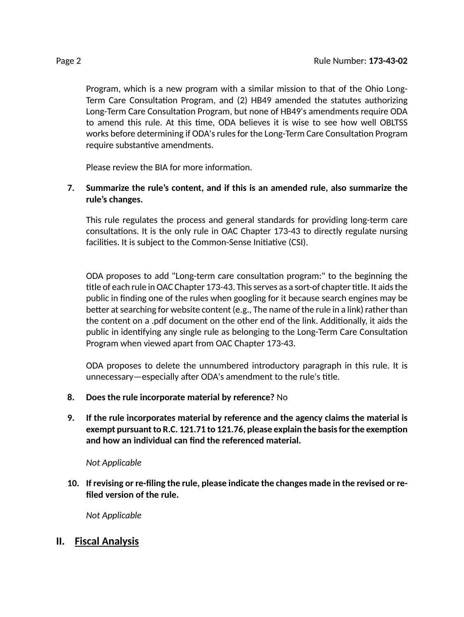Program, which is a new program with a similar mission to that of the Ohio Long-Term Care Consultation Program, and (2) HB49 amended the statutes authorizing Long-Term Care Consultation Program, but none of HB49's amendments require ODA to amend this rule. At this time, ODA believes it is wise to see how well OBLTSS works before determining if ODA's rules for the Long-Term Care Consultation Program require substantive amendments.

Please review the BIA for more information.

#### **7. Summarize the rule's content, and if this is an amended rule, also summarize the rule's changes.**

This rule regulates the process and general standards for providing long-term care consultations. It is the only rule in OAC Chapter 173-43 to directly regulate nursing facilities. It is subject to the Common-Sense Initiative (CSI).

ODA proposes to add "Long-term care consultation program:" to the beginning the title of each rule in OAC Chapter 173-43. This serves as a sort-of chapter title. It aids the public in finding one of the rules when googling for it because search engines may be better at searching for website content (e.g., The name of the rule in a link) rather than the content on a .pdf document on the other end of the link. Additionally, it aids the public in identifying any single rule as belonging to the Long-Term Care Consultation Program when viewed apart from OAC Chapter 173-43.

ODA proposes to delete the unnumbered introductory paragraph in this rule. It is unnecessary—especially after ODA's amendment to the rule's title.

- **8. Does the rule incorporate material by reference?** No
- **9. If the rule incorporates material by reference and the agency claims the material is exempt** pursuant to R.C. 121.71 to 121.76, please explain the basis for the exemption **and how an individual can find the referenced material.**

*Not Applicable*

**10. If revising or re-filing the rule, please indicate the changes made in the revised or refiled version of the rule.**

*Not Applicable*

## **II. Fiscal Analysis**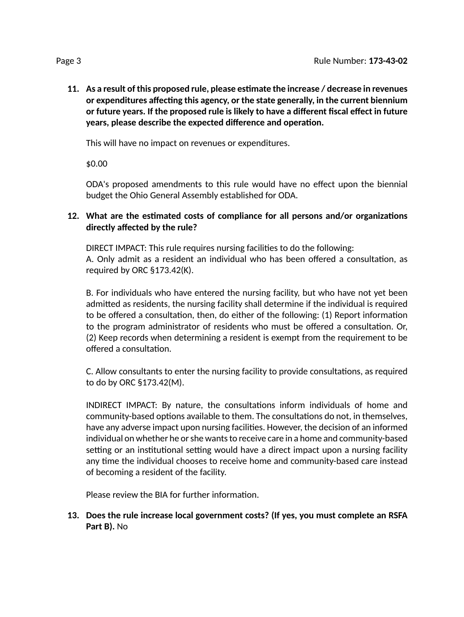**11. As a result of this proposed rule, please esmate the increase / decrease in revenues** *<u>or* **expenditures** affecting this agency, or the state generally, in the current biennium</u> **or future years. If the proposed rule is likely to have a different fiscal effect in future years, please describe the expected difference and operation.** 

This will have no impact on revenues or expenditures.

\$0.00

ODA's proposed amendments to this rule would have no effect upon the biennial budget the Ohio General Assembly established for ODA.

### **12. What are the esmated costs of compliance for all persons and/or organizaons directly affected by the rule?**

DIRECT IMPACT: This rule requires nursing facilities to do the following: A. Only admit as a resident an individual who has been offered a consultation, as required by ORC §173.42(K).

B. For individuals who have entered the nursing facility, but who have not yet been admitted as residents, the nursing facility shall determine if the individual is required to be offered a consultation, then, do either of the following:  $(1)$  Report information to the program administrator of residents who must be offered a consultation. Or, (2) Keep records when determining a resident is exempt from the requirement to be offered a consultation.

C. Allow consultants to enter the nursing facility to provide consultations, as required to do by ORC §173.42(M).

INDIRECT IMPACT: By nature, the consultations inform individuals of home and community-based options available to them. The consultations do not, in themselves, have any adverse impact upon nursing facilities. However, the decision of an informed individual on whether he or she wants to receive care in a home and community-based setting or an institutional setting would have a direct impact upon a nursing facility any time the individual chooses to receive home and community-based care instead of becoming a resident of the facility.

Please review the BIA for further information.

**13. Does the rule increase local government costs? (If yes, you must complete an RSFA Part B).** No